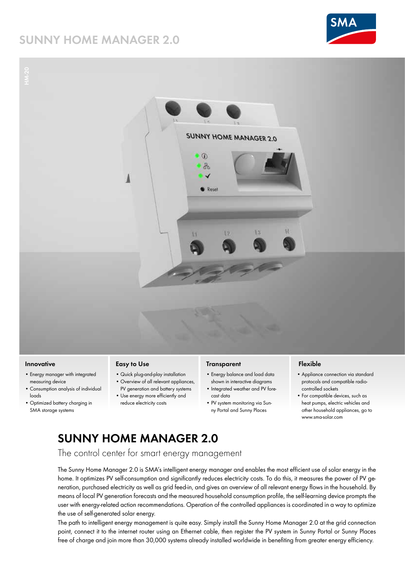# **SUNNY HOME MANAGER 2.0**



**HM-20SUNNY HOME MANAGER 2.0**  $\circledR$ 品 Reset

### **Innovative**

- Energy manager with integrated measuring device
- Consumption analysis of individual loads
- Optimized battery charging in SMA storage systems

### **Easy to Use**

- Quick plug-and-play installation • Overview of all relevant appliances,
- PV generation and battery systems • Use energy more efficiently and
- reduce electricity costs

### **Transparent**

- Energy balance and load data shown in interactive diagrams
- Integrated weather and PV forecast data
- PV system monitoring via Sunny Portal and Sunny Places

## **Flexible**

- Appliance connection via standard protocols and compatible radiocontrolled sockets
- For compatible devices, such as heat pumps, electric vehicles and other household appliances, go to www.sma-solar.com

# **SUNNY HOME MANAGER 2.0**

The control center for smart energy management

The Sunny Home Manager 2.0 is SMA's intelligent energy manager and enables the most efficient use of solar energy in the home. It optimizes PV self-consumption and significantly reduces electricity costs. To do this, it measures the power of PV generation, purchased electricity as well as grid feed-in, and gives an overview of all relevant energy flows in the household. By means of local PV generation forecasts and the measured household consumption profile, the self-learning device prompts the user with energy-related action recommendations. Operation of the controlled appliances is coordinated in a way to optimize the use of self-generated solar energy.

The path to intelligent energy management is quite easy. Simply install the Sunny Home Manager 2.0 at the grid connection point, connect it to the internet router using an Ethernet cable, then register the PV system in Sunny Portal or Sunny Places free of charge and join more than 30,000 systems already installed worldwide in benefiting from greater energy efficiency.